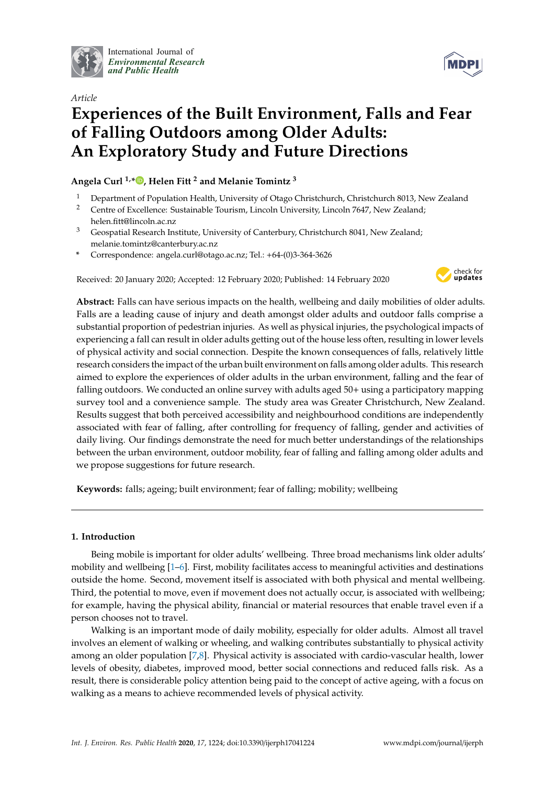

International Journal of *[Environmental Research](http://www.mdpi.com/journal/ijerph) and Public Health*





# **Experiences of the Built Environment, Falls and Fear of Falling Outdoors among Older Adults: An Exploratory Study and Future Directions**

# **Angela Curl 1,[\\*](https://orcid.org/0000-0002-8325-190X) , Helen Fitt <sup>2</sup> and Melanie Tomintz <sup>3</sup>**

- <sup>1</sup> Department of Population Health, University of Otago Christchurch, Christchurch 8013, New Zealand
- <sup>2</sup> Centre of Excellence: Sustainable Tourism, Lincoln University, Lincoln 7647, New Zealand; helen.fitt@lincoln.ac.nz
- <sup>3</sup> Geospatial Research Institute, University of Canterbury, Christchurch 8041, New Zealand; melanie.tomintz@canterbury.ac.nz
- **\*** Correspondence: angela.curl@otago.ac.nz; Tel.: +64-(0)3-364-3626

Received: 20 January 2020; Accepted: 12 February 2020; Published: 14 February 2020



**Abstract:** Falls can have serious impacts on the health, wellbeing and daily mobilities of older adults. Falls are a leading cause of injury and death amongst older adults and outdoor falls comprise a substantial proportion of pedestrian injuries. As well as physical injuries, the psychological impacts of experiencing a fall can result in older adults getting out of the house less often, resulting in lower levels of physical activity and social connection. Despite the known consequences of falls, relatively little research considers the impact of the urban built environment on falls among older adults. This research aimed to explore the experiences of older adults in the urban environment, falling and the fear of falling outdoors. We conducted an online survey with adults aged 50+ using a participatory mapping survey tool and a convenience sample. The study area was Greater Christchurch, New Zealand. Results suggest that both perceived accessibility and neighbourhood conditions are independently associated with fear of falling, after controlling for frequency of falling, gender and activities of daily living. Our findings demonstrate the need for much better understandings of the relationships between the urban environment, outdoor mobility, fear of falling and falling among older adults and we propose suggestions for future research.

**Keywords:** falls; ageing; built environment; fear of falling; mobility; wellbeing

# **1. Introduction**

Being mobile is important for older adults' wellbeing. Three broad mechanisms link older adults' mobility and wellbeing [\[1–](#page-12-0)[6\]](#page-12-1). First, mobility facilitates access to meaningful activities and destinations outside the home. Second, movement itself is associated with both physical and mental wellbeing. Third, the potential to move, even if movement does not actually occur, is associated with wellbeing; for example, having the physical ability, financial or material resources that enable travel even if a person chooses not to travel.

Walking is an important mode of daily mobility, especially for older adults. Almost all travel involves an element of walking or wheeling, and walking contributes substantially to physical activity among an older population [\[7](#page-12-2)[,8\]](#page-12-3). Physical activity is associated with cardio-vascular health, lower levels of obesity, diabetes, improved mood, better social connections and reduced falls risk. As a result, there is considerable policy attention being paid to the concept of active ageing, with a focus on walking as a means to achieve recommended levels of physical activity.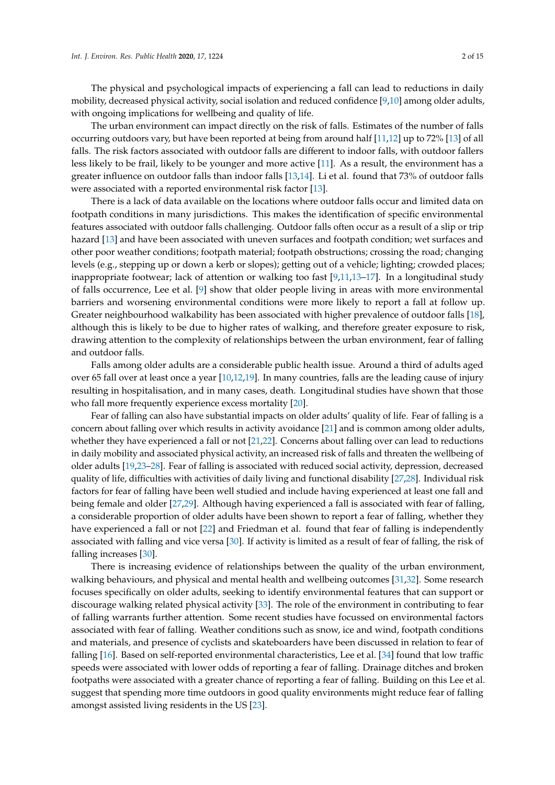The physical and psychological impacts of experiencing a fall can lead to reductions in daily mobility, decreased physical activity, social isolation and reduced confidence [\[9,](#page-12-4)[10\]](#page-12-5) among older adults, with ongoing implications for wellbeing and quality of life.

The urban environment can impact directly on the risk of falls. Estimates of the number of falls occurring outdoors vary, but have been reported at being from around half [\[11,](#page-12-6)[12\]](#page-12-7) up to 72% [\[13\]](#page-12-8) of all falls. The risk factors associated with outdoor falls are different to indoor falls, with outdoor fallers less likely to be frail, likely to be younger and more active [\[11\]](#page-12-6). As a result, the environment has a greater influence on outdoor falls than indoor falls [\[13,](#page-12-8)[14\]](#page-12-9). Li et al. found that 73% of outdoor falls were associated with a reported environmental risk factor [\[13\]](#page-12-8).

There is a lack of data available on the locations where outdoor falls occur and limited data on footpath conditions in many jurisdictions. This makes the identification of specific environmental features associated with outdoor falls challenging. Outdoor falls often occur as a result of a slip or trip hazard [\[13\]](#page-12-8) and have been associated with uneven surfaces and footpath condition; wet surfaces and other poor weather conditions; footpath material; footpath obstructions; crossing the road; changing levels (e.g., stepping up or down a kerb or slopes); getting out of a vehicle; lighting; crowded places; inappropriate footwear; lack of attention or walking too fast [\[9,](#page-12-4)[11,](#page-12-6)[13–](#page-12-8)[17\]](#page-13-0). In a longitudinal study of falls occurrence, Lee et al. [\[9\]](#page-12-4) show that older people living in areas with more environmental barriers and worsening environmental conditions were more likely to report a fall at follow up. Greater neighbourhood walkability has been associated with higher prevalence of outdoor falls [\[18\]](#page-13-1), although this is likely to be due to higher rates of walking, and therefore greater exposure to risk, drawing attention to the complexity of relationships between the urban environment, fear of falling and outdoor falls.

Falls among older adults are a considerable public health issue. Around a third of adults aged over 65 fall over at least once a year [\[10,](#page-12-5)[12](#page-12-7)[,19\]](#page-13-2). In many countries, falls are the leading cause of injury resulting in hospitalisation, and in many cases, death. Longitudinal studies have shown that those who fall more frequently experience excess mortality [\[20\]](#page-13-3).

Fear of falling can also have substantial impacts on older adults' quality of life. Fear of falling is a concern about falling over which results in activity avoidance [\[21\]](#page-13-4) and is common among older adults, whether they have experienced a fall or not [\[21](#page-13-4)[,22\]](#page-13-5). Concerns about falling over can lead to reductions in daily mobility and associated physical activity, an increased risk of falls and threaten the wellbeing of older adults [\[19](#page-13-2)[,23–](#page-13-6)[28\]](#page-13-7). Fear of falling is associated with reduced social activity, depression, decreased quality of life, difficulties with activities of daily living and functional disability [\[27,](#page-13-8)[28\]](#page-13-7). Individual risk factors for fear of falling have been well studied and include having experienced at least one fall and being female and older [\[27,](#page-13-8)[29\]](#page-13-9). Although having experienced a fall is associated with fear of falling, a considerable proportion of older adults have been shown to report a fear of falling, whether they have experienced a fall or not [\[22\]](#page-13-5) and Friedman et al. found that fear of falling is independently associated with falling and vice versa [\[30\]](#page-13-10). If activity is limited as a result of fear of falling, the risk of falling increases [\[30\]](#page-13-10).

There is increasing evidence of relationships between the quality of the urban environment, walking behaviours, and physical and mental health and wellbeing outcomes [\[31,](#page-13-11)[32\]](#page-13-12). Some research focuses specifically on older adults, seeking to identify environmental features that can support or discourage walking related physical activity [\[33\]](#page-13-13). The role of the environment in contributing to fear of falling warrants further attention. Some recent studies have focussed on environmental factors associated with fear of falling. Weather conditions such as snow, ice and wind, footpath conditions and materials, and presence of cyclists and skateboarders have been discussed in relation to fear of falling [\[16\]](#page-13-14). Based on self-reported environmental characteristics, Lee et al. [\[34\]](#page-13-15) found that low traffic speeds were associated with lower odds of reporting a fear of falling. Drainage ditches and broken footpaths were associated with a greater chance of reporting a fear of falling. Building on this Lee et al. suggest that spending more time outdoors in good quality environments might reduce fear of falling amongst assisted living residents in the US [\[23\]](#page-13-6).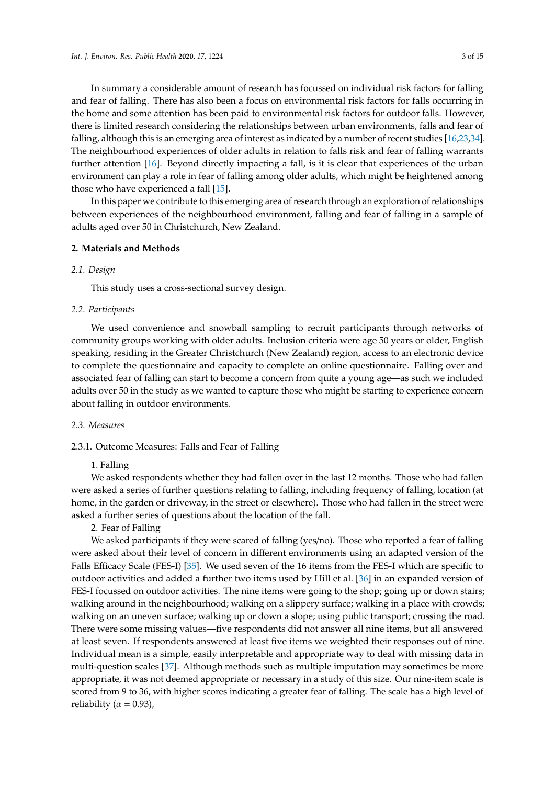In summary a considerable amount of research has focussed on individual risk factors for falling and fear of falling. There has also been a focus on environmental risk factors for falls occurring in the home and some attention has been paid to environmental risk factors for outdoor falls. However, there is limited research considering the relationships between urban environments, falls and fear of falling, although this is an emerging area of interest as indicated by a number of recent studies [\[16](#page-13-14)[,23](#page-13-6)[,34\]](#page-13-15). The neighbourhood experiences of older adults in relation to falls risk and fear of falling warrants further attention [\[16\]](#page-13-14). Beyond directly impacting a fall, is it is clear that experiences of the urban environment can play a role in fear of falling among older adults, which might be heightened among those who have experienced a fall [\[15\]](#page-13-16).

In this paper we contribute to this emerging area of research through an exploration of relationships between experiences of the neighbourhood environment, falling and fear of falling in a sample of adults aged over 50 in Christchurch, New Zealand.

#### **2. Materials and Methods**

#### *2.1. Design*

This study uses a cross-sectional survey design.

#### *2.2. Participants*

We used convenience and snowball sampling to recruit participants through networks of community groups working with older adults. Inclusion criteria were age 50 years or older, English speaking, residing in the Greater Christchurch (New Zealand) region, access to an electronic device to complete the questionnaire and capacity to complete an online questionnaire. Falling over and associated fear of falling can start to become a concern from quite a young age—as such we included adults over 50 in the study as we wanted to capture those who might be starting to experience concern about falling in outdoor environments.

#### *2.3. Measures*

#### 2.3.1. Outcome Measures: Falls and Fear of Falling

#### 1. Falling

We asked respondents whether they had fallen over in the last 12 months. Those who had fallen were asked a series of further questions relating to falling, including frequency of falling, location (at home, in the garden or driveway, in the street or elsewhere). Those who had fallen in the street were asked a further series of questions about the location of the fall.

2. Fear of Falling

We asked participants if they were scared of falling (yes/no). Those who reported a fear of falling were asked about their level of concern in different environments using an adapted version of the Falls Efficacy Scale (FES-I) [\[35\]](#page-13-17). We used seven of the 16 items from the FES-I which are specific to outdoor activities and added a further two items used by Hill et al. [\[36\]](#page-13-18) in an expanded version of FES-I focussed on outdoor activities. The nine items were going to the shop; going up or down stairs; walking around in the neighbourhood; walking on a slippery surface; walking in a place with crowds; walking on an uneven surface; walking up or down a slope; using public transport; crossing the road. There were some missing values—five respondents did not answer all nine items, but all answered at least seven. If respondents answered at least five items we weighted their responses out of nine. Individual mean is a simple, easily interpretable and appropriate way to deal with missing data in multi-question scales [\[37\]](#page-13-19). Although methods such as multiple imputation may sometimes be more appropriate, it was not deemed appropriate or necessary in a study of this size. Our nine-item scale is scored from 9 to 36, with higher scores indicating a greater fear of falling. The scale has a high level of reliability ( $\alpha = 0.93$ ),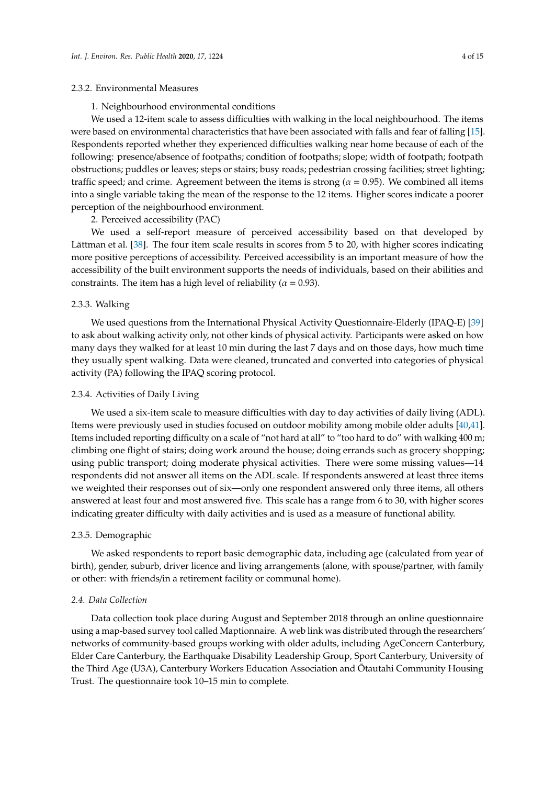#### 2.3.2. Environmental Measures

#### 1. Neighbourhood environmental conditions

We used a 12-item scale to assess difficulties with walking in the local neighbourhood. The items were based on environmental characteristics that have been associated with falls and fear of falling [\[15\]](#page-13-16). Respondents reported whether they experienced difficulties walking near home because of each of the following: presence/absence of footpaths; condition of footpaths; slope; width of footpath; footpath obstructions; puddles or leaves; steps or stairs; busy roads; pedestrian crossing facilities; street lighting; traffic speed; and crime. Agreement between the items is strong ( $\alpha = 0.95$ ). We combined all items into a single variable taking the mean of the response to the 12 items. Higher scores indicate a poorer perception of the neighbourhood environment.

#### 2. Perceived accessibility (PAC)

We used a self-report measure of perceived accessibility based on that developed by Lättman et al. [\[38\]](#page-14-0). The four item scale results in scores from 5 to 20, with higher scores indicating more positive perceptions of accessibility. Perceived accessibility is an important measure of how the accessibility of the built environment supports the needs of individuals, based on their abilities and constraints. The item has a high level of reliability ( $\alpha$  = 0.93).

### 2.3.3. Walking

We used questions from the International Physical Activity Questionnaire-Elderly (IPAQ-E) [\[39\]](#page-14-1) to ask about walking activity only, not other kinds of physical activity. Participants were asked on how many days they walked for at least 10 min during the last 7 days and on those days, how much time they usually spent walking. Data were cleaned, truncated and converted into categories of physical activity (PA) following the IPAQ scoring protocol.

# 2.3.4. Activities of Daily Living

We used a six-item scale to measure difficulties with day to day activities of daily living (ADL). Items were previously used in studies focused on outdoor mobility among mobile older adults [\[40](#page-14-2)[,41\]](#page-14-3). Items included reporting difficulty on a scale of "not hard at all" to "too hard to do" with walking 400 m; climbing one flight of stairs; doing work around the house; doing errands such as grocery shopping; using public transport; doing moderate physical activities. There were some missing values—14 respondents did not answer all items on the ADL scale. If respondents answered at least three items we weighted their responses out of six—only one respondent answered only three items, all others answered at least four and most answered five. This scale has a range from 6 to 30, with higher scores indicating greater difficulty with daily activities and is used as a measure of functional ability.

#### 2.3.5. Demographic

We asked respondents to report basic demographic data, including age (calculated from year of birth), gender, suburb, driver licence and living arrangements (alone, with spouse/partner, with family or other: with friends/in a retirement facility or communal home).

#### *2.4. Data Collection*

Data collection took place during August and September 2018 through an online questionnaire using a map-based survey tool called Maptionnaire. A web link was distributed through the researchers' networks of community-based groups working with older adults, including AgeConcern Canterbury, Elder Care Canterbury, the Earthquake Disability Leadership Group, Sport Canterbury, University of the Third Age (U3A), Canterbury Workers Education Association and Otautahi Community Housing ¯ Trust. The questionnaire took 10–15 min to complete.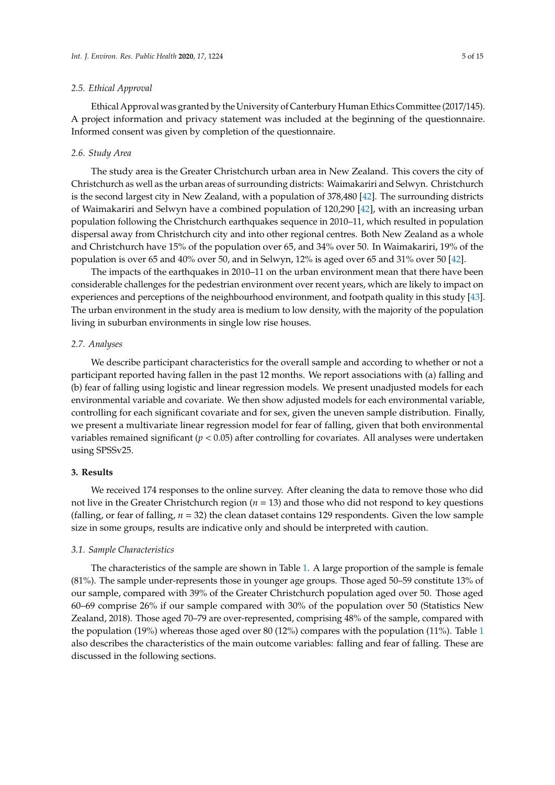#### *2.5. Ethical Approval*

Ethical Approval was granted by the University of Canterbury Human Ethics Committee (2017/145). A project information and privacy statement was included at the beginning of the questionnaire. Informed consent was given by completion of the questionnaire.

#### *2.6. Study Area*

The study area is the Greater Christchurch urban area in New Zealand. This covers the city of Christchurch as well as the urban areas of surrounding districts: Waimakariri and Selwyn. Christchurch is the second largest city in New Zealand, with a population of 378,480 [\[42\]](#page-14-4). The surrounding districts of Waimakariri and Selwyn have a combined population of 120,290 [\[42\]](#page-14-4), with an increasing urban population following the Christchurch earthquakes sequence in 2010–11, which resulted in population dispersal away from Christchurch city and into other regional centres. Both New Zealand as a whole and Christchurch have 15% of the population over 65, and 34% over 50. In Waimakariri, 19% of the population is over 65 and 40% over 50, and in Selwyn, 12% is aged over 65 and 31% over 50 [\[42\]](#page-14-4).

The impacts of the earthquakes in 2010–11 on the urban environment mean that there have been considerable challenges for the pedestrian environment over recent years, which are likely to impact on experiences and perceptions of the neighbourhood environment, and footpath quality in this study [\[43\]](#page-14-5). The urban environment in the study area is medium to low density, with the majority of the population living in suburban environments in single low rise houses.

#### *2.7. Analyses*

We describe participant characteristics for the overall sample and according to whether or not a participant reported having fallen in the past 12 months. We report associations with (a) falling and (b) fear of falling using logistic and linear regression models. We present unadjusted models for each environmental variable and covariate. We then show adjusted models for each environmental variable, controlling for each significant covariate and for sex, given the uneven sample distribution. Finally, we present a multivariate linear regression model for fear of falling, given that both environmental variables remained significant (*p* < 0.05) after controlling for covariates. All analyses were undertaken using SPSSv25.

#### **3. Results**

We received 174 responses to the online survey. After cleaning the data to remove those who did not live in the Greater Christchurch region (*n* = 13) and those who did not respond to key questions (falling, or fear of falling,  $n = 32$ ) the clean dataset contains 129 respondents. Given the low sample size in some groups, results are indicative only and should be interpreted with caution.

#### *3.1. Sample Characteristics*

The characteristics of the sample are shown in Table [1.](#page-5-0) A large proportion of the sample is female (81%). The sample under-represents those in younger age groups. Those aged 50–59 constitute 13% of our sample, compared with 39% of the Greater Christchurch population aged over 50. Those aged 60–69 comprise 26% if our sample compared with 30% of the population over 50 (Statistics New Zealand, 2018). Those aged 70–79 are over-represented, comprising 48% of the sample, compared with the population (19%) whereas those aged over 80 (12%) compares with the population (11%). Table [1](#page-5-0) also describes the characteristics of the main outcome variables: falling and fear of falling. These are discussed in the following sections.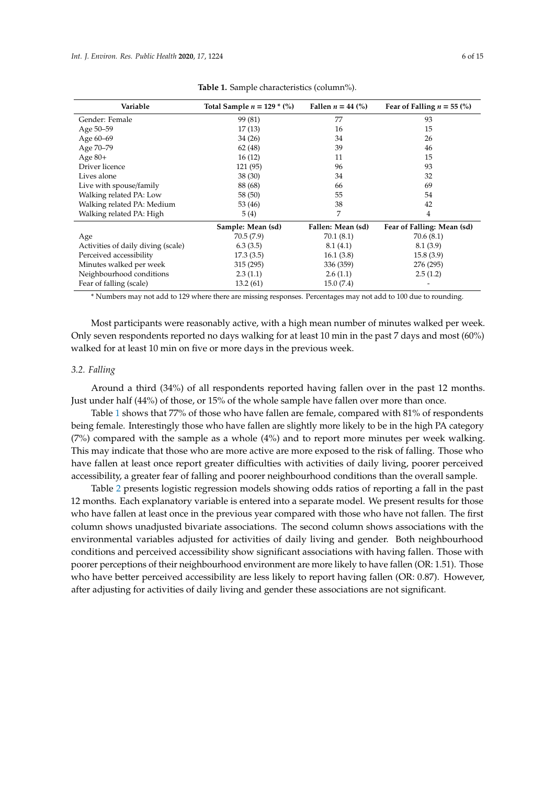<span id="page-5-0"></span>

| Variable                           | Total Sample $n = 129$ * (%) | Fallen $n = 44$ (%) | Fear of Falling $n = 55$ (%) |
|------------------------------------|------------------------------|---------------------|------------------------------|
| Gender: Female                     | 99 (81)                      | 77                  | 93                           |
| Age 50–59                          | 17(13)                       | 16                  | 15                           |
| Age 60-69                          | 34 (26)                      | 34                  | 26                           |
| Age 70–79                          | 62(48)                       | 39                  | 46                           |
| Age $80+$                          | 16(12)                       | 11                  | 15                           |
| Driver licence                     | 121 (95)                     | 96                  | 93                           |
| Lives alone                        | 38(30)                       | 34                  | 32                           |
| Live with spouse/family            | 88 (68)                      | 66                  | 69                           |
| Walking related PA: Low            | 58 (50)                      | 55                  | 54                           |
| Walking related PA: Medium         | 53 (46)                      | 38                  | 42                           |
| Walking related PA: High           | 5(4)                         | 7                   | 4                            |
|                                    | Sample: Mean (sd)            | Fallen: Mean (sd)   | Fear of Falling: Mean (sd)   |
| Age                                | 70.5 (7.9)                   | 70.1(8.1)           | 70.6 (8.1)                   |
| Activities of daily diving (scale) | 6.3(3.5)                     | 8.1(4.1)            | 8.1 (3.9)                    |
| Perceived accessibility            | 17.3(3.5)                    | 16.1(3.8)           | 15.8(3.9)                    |
| Minutes walked per week            | 315(295)                     | 336 (359)           | 276 (295)                    |
| Neighbourhood conditions           | 2.3(1.1)                     | 2.6(1.1)            | 2.5(1.2)                     |
| Fear of falling (scale)            | 13.2(61)                     | 15.0(7.4)           |                              |

**Table 1.** Sample characteristics (column%).

\* Numbers may not add to 129 where there are missing responses. Percentages may not add to 100 due to rounding.

Most participants were reasonably active, with a high mean number of minutes walked per week. Only seven respondents reported no days walking for at least 10 min in the past 7 days and most (60%) walked for at least 10 min on five or more days in the previous week.

#### *3.2. Falling*

Around a third (34%) of all respondents reported having fallen over in the past 12 months. Just under half (44%) of those, or 15% of the whole sample have fallen over more than once.

Table [1](#page-5-0) shows that 77% of those who have fallen are female, compared with 81% of respondents being female. Interestingly those who have fallen are slightly more likely to be in the high PA category (7%) compared with the sample as a whole (4%) and to report more minutes per week walking. This may indicate that those who are more active are more exposed to the risk of falling. Those who have fallen at least once report greater difficulties with activities of daily living, poorer perceived accessibility, a greater fear of falling and poorer neighbourhood conditions than the overall sample.

Table [2](#page-6-0) presents logistic regression models showing odds ratios of reporting a fall in the past 12 months. Each explanatory variable is entered into a separate model. We present results for those who have fallen at least once in the previous year compared with those who have not fallen. The first column shows unadjusted bivariate associations. The second column shows associations with the environmental variables adjusted for activities of daily living and gender. Both neighbourhood conditions and perceived accessibility show significant associations with having fallen. Those with poorer perceptions of their neighbourhood environment are more likely to have fallen (OR: 1.51). Those who have better perceived accessibility are less likely to report having fallen (OR: 0.87). However, after adjusting for activities of daily living and gender these associations are not significant.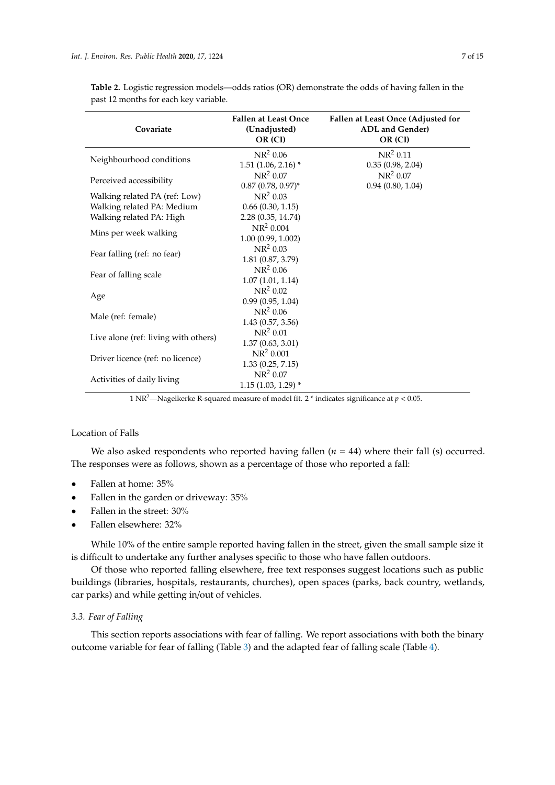| Covariate                            | <b>Fallen at Least Once</b><br>(Unadjusted)<br>OR (CI) | Fallen at Least Once (Adjusted for<br><b>ADL</b> and Gender)<br>OR (CI) |
|--------------------------------------|--------------------------------------------------------|-------------------------------------------------------------------------|
| Neighbourhood conditions             | $NR^2$ 0.06                                            | $NR^2$ 0.11                                                             |
|                                      | $1.51$ (1.06, 2.16) *                                  | 0.35(0.98, 2.04)                                                        |
| Perceived accessibility              | $NR^2$ 0.07                                            | $NR^2$ 0.07                                                             |
|                                      | $0.87$ $(0.78, 0.97)^*$                                | 0.94(0.80, 1.04)                                                        |
| Walking related PA (ref: Low)        | $NR^2$ 0.03                                            |                                                                         |
| Walking related PA: Medium           | 0.66(0.30, 1.15)                                       |                                                                         |
| Walking related PA: High             | 2.28 (0.35, 14.74)                                     |                                                                         |
|                                      | $NR^2$ 0.004                                           |                                                                         |
| Mins per week walking                | 1.00(0.99, 1.002)                                      |                                                                         |
|                                      | $NR^2$ 0.03                                            |                                                                         |
| Fear falling (ref: no fear)          | 1.81 (0.87, 3.79)                                      |                                                                         |
|                                      | $NR^2$ 0.06                                            |                                                                         |
| Fear of falling scale                | 1.07(1.01, 1.14)                                       |                                                                         |
|                                      | $NR^2$ 0.02                                            |                                                                         |
| Age                                  | 0.99(0.95, 1.04)                                       |                                                                         |
|                                      | $NR^2$ 0.06                                            |                                                                         |
| Male (ref: female)                   | 1.43(0.57, 3.56)                                       |                                                                         |
|                                      | $NR^2$ 0.01                                            |                                                                         |
| Live alone (ref: living with others) | 1.37(0.63, 3.01)                                       |                                                                         |
|                                      | $NR^2$ 0.001                                           |                                                                         |
| Driver licence (ref: no licence)     | 1.33(0.25, 7.15)                                       |                                                                         |
|                                      | $NR^2$ 0.07                                            |                                                                         |
| Activities of daily living           | $1.15(1.03, 1.29)$ *                                   |                                                                         |

<span id="page-6-0"></span>**Table 2.** Logistic regression models—odds ratios (OR) demonstrate the odds of having fallen in the past 12 months for each key variable.

1 NR<sup>2</sup>—Nagelkerke R-squared measure of model fit. 2  $*$  indicates significance at  $p < 0.05$ .

# Location of Falls

We also asked respondents who reported having fallen  $(n = 44)$  where their fall (s) occurred. The responses were as follows, shown as a percentage of those who reported a fall:

- Fallen at home: 35%
- Fallen in the garden or driveway: 35%
- Fallen in the street: 30%
- Fallen elsewhere: 32%

While 10% of the entire sample reported having fallen in the street, given the small sample size it is difficult to undertake any further analyses specific to those who have fallen outdoors.

Of those who reported falling elsewhere, free text responses suggest locations such as public buildings (libraries, hospitals, restaurants, churches), open spaces (parks, back country, wetlands, car parks) and while getting in/out of vehicles.

# *3.3. Fear of Falling*

This section reports associations with fear of falling. We report associations with both the binary outcome variable for fear of falling (Table [3\)](#page-7-0) and the adapted fear of falling scale (Table [4\)](#page-7-1).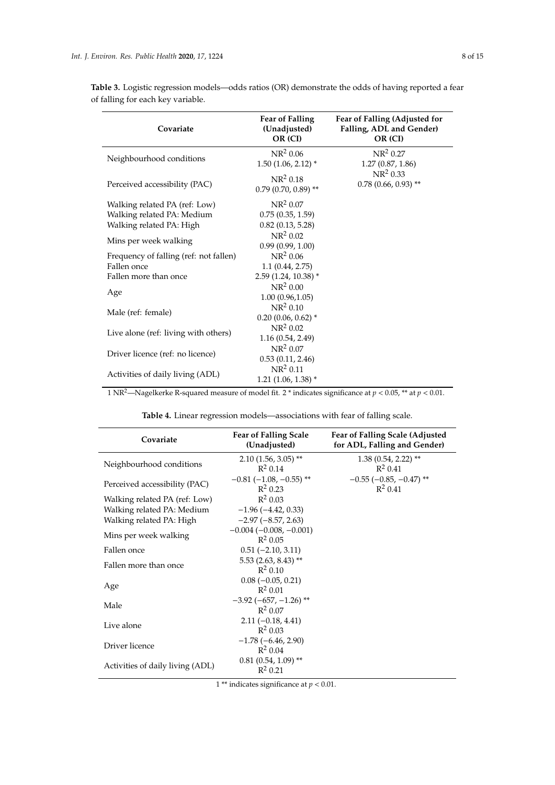| Covariate                              | <b>Fear of Falling</b><br>(Unadjusted)<br>OR (CI) | Fear of Falling (Adjusted for<br>Falling, ADL and Gender)<br>OR (CI) |
|----------------------------------------|---------------------------------------------------|----------------------------------------------------------------------|
| Neighbourhood conditions               | $NR^2$ 0.06<br>$1.50(1.06, 2.12)$ *               | $NR^2$ 0.27<br>1.27(0.87, 1.86)                                      |
| Perceived accessibility (PAC)          | $NR^2$ 0.18<br>$0.79$ (0.70, 0.89) **             | $NR^2$ 0.33<br>$0.78$ (0.66, 0.93) **                                |
| Walking related PA (ref: Low)          | $NR^2$ 0.07                                       |                                                                      |
| Walking related PA: Medium             | 0.75(0.35, 1.59)                                  |                                                                      |
| Walking related PA: High               | 0.82(0.13, 5.28)                                  |                                                                      |
| Mins per week walking                  | $NR^2$ 0.02<br>0.99(0.99, 1.00)                   |                                                                      |
| Frequency of falling (ref: not fallen) | $NR^2$ 0.06                                       |                                                                      |
| Fallen once                            | 1.1(0.44, 2.75)                                   |                                                                      |
| Fallen more than once                  | 2.59 (1.24, 10.38) *                              |                                                                      |
| Age                                    | $NR^2$ 0.00<br>1.00(0.96, 1.05)                   |                                                                      |
| Male (ref: female)                     | $NR^2$ 0.10<br>$0.20$ (0.06, 0.62) *              |                                                                      |
| Live alone (ref: living with others)   | $NR^2$ 0.02<br>1.16 (0.54, 2.49)                  |                                                                      |
| Driver licence (ref: no licence)       | $NR^2$ 0.07<br>0.53(0.11, 2.46)                   |                                                                      |
| Activities of daily living (ADL)       | $NR^2$ 0.11<br>$1.21(1.06, 1.38)$ *               |                                                                      |

<span id="page-7-0"></span>**Table 3.** Logistic regression models—odds ratios (OR) demonstrate the odds of having reported a fear of falling for each key variable.

<span id="page-7-1"></span>1 NR2—Nagelkerke R-squared measure of model fit. 2 \* indicates significance at *p* < 0.05, \*\* at *p* < 0.01.

**Covariate Fear of Falling Scale (Unadjusted) Fear of Falling Scale (Adjusted for ADL, Falling and Gender)** Neighbourhood conditions  $2.10 (1.56, 3.05)$ <sup>\*\*</sup>  $R^2$  0.14 1.38 (0.54, 2.22) \*\*  $R^2$  0.41 Perceived accessibility (PAC)  $-0.81 (-1.08, -0.55)$ <sup>\*\*</sup>  $R^2$  0.23  $-0.55$  ( $-0.85$ ,  $-0.47$ ) \*\*  $R^2$  0.41 Walking related PA (ref: Low)  $R^2$  0.03 Walking related PA: Medium −1.96 (-4.42, 0.33) Walking related PA: High −2.97 (-8.57, 2.63) Mins per week walking  $-0.004 (-0.008, -0.001)$  $R^2$  0.05 Fallen once 0.51 (−2.10, 3.11) Fallen more than once  $5.53 (2.63, 8.43)$ <sup>\*\*</sup>  $R^2$  0.10 Age 0.08 (−0.05, 0.21)  $R^2$  0.01 Male  $-3.92 \left(-657, -1.26\right)$ <sup>\*\*</sup>  $R^2$  0.07 Live alone 2.11 (−0.18, 4.41)  $R^2$  0.03 Driver licence −1.78 (−6.46, 2.90)  $R^2$  0.04 Activities of daily living (ADL)  $0.81 (0.54, 1.09)$ <sup>\*\*</sup>  $R^2$  0.21

**Table 4.** Linear regression models—associations with fear of falling scale.

 $1$   $\ast\ast$  indicates significance at  $p<0.01.$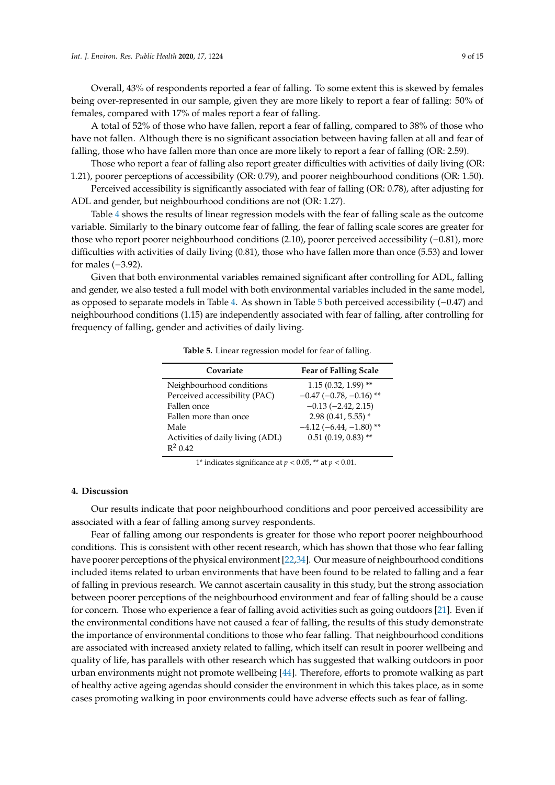Overall, 43% of respondents reported a fear of falling. To some extent this is skewed by females being over-represented in our sample, given they are more likely to report a fear of falling: 50% of females, compared with 17% of males report a fear of falling.

A total of 52% of those who have fallen, report a fear of falling, compared to 38% of those who have not fallen. Although there is no significant association between having fallen at all and fear of falling, those who have fallen more than once are more likely to report a fear of falling (OR: 2.59).

Those who report a fear of falling also report greater difficulties with activities of daily living (OR: 1.21), poorer perceptions of accessibility (OR: 0.79), and poorer neighbourhood conditions (OR: 1.50).

Perceived accessibility is significantly associated with fear of falling (OR: 0.78), after adjusting for ADL and gender, but neighbourhood conditions are not (OR: 1.27).

Table [4](#page-7-1) shows the results of linear regression models with the fear of falling scale as the outcome variable. Similarly to the binary outcome fear of falling, the fear of falling scale scores are greater for those who report poorer neighbourhood conditions (2.10), poorer perceived accessibility (−0.81), more difficulties with activities of daily living (0.81), those who have fallen more than once (5.53) and lower for males (−3.92).

<span id="page-8-0"></span>Given that both environmental variables remained significant after controlling for ADL, falling and gender, we also tested a full model with both environmental variables included in the same model, as opposed to separate models in Table [4.](#page-7-1) As shown in Table [5](#page-8-0) both perceived accessibility (−0.47) and neighbourhood conditions (1.15) are independently associated with fear of falling, after controlling for frequency of falling, gender and activities of daily living.

| Covariate                                             | <b>Fear of Falling Scale</b> |
|-------------------------------------------------------|------------------------------|
| Table 5. Linear regression model for fear of falling. |                              |

| Fear of Falling Scale            |
|----------------------------------|
| $1.15(0.32, 1.99)$ **            |
| $-0.47$ ( $-0.78$ , $-0.16$ ) ** |
| $-0.13$ $(-2.42, 2.15)$          |
| $2.98(0.41, 5.55)$ *             |
| $-4.12$ ( $-6.44$ , $-1.80$ ) ** |
| $0.51$ (0.19, 0.83) **           |
|                                  |
|                                  |

1\* indicates significance at  $p < 0.05$ , \*\* at  $p < 0.01$ .

#### **4. Discussion**

Our results indicate that poor neighbourhood conditions and poor perceived accessibility are associated with a fear of falling among survey respondents.

Fear of falling among our respondents is greater for those who report poorer neighbourhood conditions. This is consistent with other recent research, which has shown that those who fear falling have poorer perceptions of the physical environment [\[22,](#page-13-5)[34\]](#page-13-15). Our measure of neighbourhood conditions included items related to urban environments that have been found to be related to falling and a fear of falling in previous research. We cannot ascertain causality in this study, but the strong association between poorer perceptions of the neighbourhood environment and fear of falling should be a cause for concern. Those who experience a fear of falling avoid activities such as going outdoors [\[21\]](#page-13-4). Even if the environmental conditions have not caused a fear of falling, the results of this study demonstrate the importance of environmental conditions to those who fear falling. That neighbourhood conditions are associated with increased anxiety related to falling, which itself can result in poorer wellbeing and quality of life, has parallels with other research which has suggested that walking outdoors in poor urban environments might not promote wellbeing [\[44\]](#page-14-6). Therefore, efforts to promote walking as part of healthy active ageing agendas should consider the environment in which this takes place, as in some cases promoting walking in poor environments could have adverse effects such as fear of falling.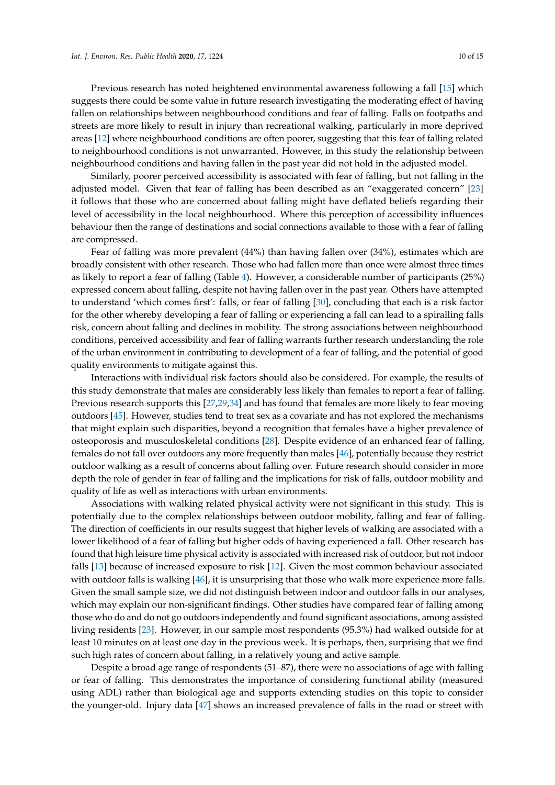Previous research has noted heightened environmental awareness following a fall [\[15\]](#page-13-16) which suggests there could be some value in future research investigating the moderating effect of having fallen on relationships between neighbourhood conditions and fear of falling. Falls on footpaths and streets are more likely to result in injury than recreational walking, particularly in more deprived areas [\[12\]](#page-12-7) where neighbourhood conditions are often poorer, suggesting that this fear of falling related to neighbourhood conditions is not unwarranted. However, in this study the relationship between neighbourhood conditions and having fallen in the past year did not hold in the adjusted model.

Similarly, poorer perceived accessibility is associated with fear of falling, but not falling in the adjusted model. Given that fear of falling has been described as an "exaggerated concern" [\[23\]](#page-13-6) it follows that those who are concerned about falling might have deflated beliefs regarding their level of accessibility in the local neighbourhood. Where this perception of accessibility influences behaviour then the range of destinations and social connections available to those with a fear of falling are compressed.

Fear of falling was more prevalent (44%) than having fallen over (34%), estimates which are broadly consistent with other research. Those who had fallen more than once were almost three times as likely to report a fear of falling (Table [4\)](#page-7-1). However, a considerable number of participants (25%) expressed concern about falling, despite not having fallen over in the past year. Others have attempted to understand 'which comes first': falls, or fear of falling [\[30\]](#page-13-10), concluding that each is a risk factor for the other whereby developing a fear of falling or experiencing a fall can lead to a spiralling falls risk, concern about falling and declines in mobility. The strong associations between neighbourhood conditions, perceived accessibility and fear of falling warrants further research understanding the role of the urban environment in contributing to development of a fear of falling, and the potential of good quality environments to mitigate against this.

Interactions with individual risk factors should also be considered. For example, the results of this study demonstrate that males are considerably less likely than females to report a fear of falling. Previous research supports this [\[27,](#page-13-8)[29,](#page-13-9)[34\]](#page-13-15) and has found that females are more likely to fear moving outdoors [\[45\]](#page-14-7). However, studies tend to treat sex as a covariate and has not explored the mechanisms that might explain such disparities, beyond a recognition that females have a higher prevalence of osteoporosis and musculoskeletal conditions [\[28\]](#page-13-7). Despite evidence of an enhanced fear of falling, females do not fall over outdoors any more frequently than males [\[46\]](#page-14-8), potentially because they restrict outdoor walking as a result of concerns about falling over. Future research should consider in more depth the role of gender in fear of falling and the implications for risk of falls, outdoor mobility and quality of life as well as interactions with urban environments.

Associations with walking related physical activity were not significant in this study. This is potentially due to the complex relationships between outdoor mobility, falling and fear of falling. The direction of coefficients in our results suggest that higher levels of walking are associated with a lower likelihood of a fear of falling but higher odds of having experienced a fall. Other research has found that high leisure time physical activity is associated with increased risk of outdoor, but not indoor falls [\[13\]](#page-12-8) because of increased exposure to risk [\[12\]](#page-12-7). Given the most common behaviour associated with outdoor falls is walking [\[46\]](#page-14-8), it is unsurprising that those who walk more experience more falls. Given the small sample size, we did not distinguish between indoor and outdoor falls in our analyses, which may explain our non-significant findings. Other studies have compared fear of falling among those who do and do not go outdoors independently and found significant associations, among assisted living residents [\[23\]](#page-13-6). However, in our sample most respondents (95.3%) had walked outside for at least 10 minutes on at least one day in the previous week. It is perhaps, then, surprising that we find such high rates of concern about falling, in a relatively young and active sample.

Despite a broad age range of respondents (51–87), there were no associations of age with falling or fear of falling. This demonstrates the importance of considering functional ability (measured using ADL) rather than biological age and supports extending studies on this topic to consider the younger-old. Injury data [\[47\]](#page-14-9) shows an increased prevalence of falls in the road or street with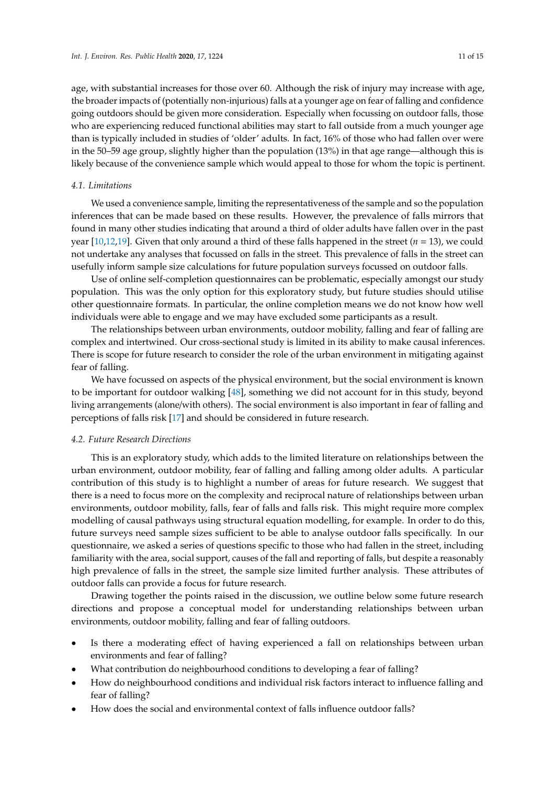age, with substantial increases for those over 60. Although the risk of injury may increase with age, the broader impacts of (potentially non-injurious) falls at a younger age on fear of falling and confidence going outdoors should be given more consideration. Especially when focussing on outdoor falls, those who are experiencing reduced functional abilities may start to fall outside from a much younger age than is typically included in studies of 'older' adults. In fact, 16% of those who had fallen over were in the 50–59 age group, slightly higher than the population (13%) in that age range—although this is likely because of the convenience sample which would appeal to those for whom the topic is pertinent.

#### *4.1. Limitations*

We used a convenience sample, limiting the representativeness of the sample and so the population inferences that can be made based on these results. However, the prevalence of falls mirrors that found in many other studies indicating that around a third of older adults have fallen over in the past year [\[10,](#page-12-5)[12,](#page-12-7)[19\]](#page-13-2). Given that only around a third of these falls happened in the street (*n* = 13), we could not undertake any analyses that focussed on falls in the street. This prevalence of falls in the street can usefully inform sample size calculations for future population surveys focussed on outdoor falls.

Use of online self-completion questionnaires can be problematic, especially amongst our study population. This was the only option for this exploratory study, but future studies should utilise other questionnaire formats. In particular, the online completion means we do not know how well individuals were able to engage and we may have excluded some participants as a result.

The relationships between urban environments, outdoor mobility, falling and fear of falling are complex and intertwined. Our cross-sectional study is limited in its ability to make causal inferences. There is scope for future research to consider the role of the urban environment in mitigating against fear of falling.

We have focussed on aspects of the physical environment, but the social environment is known to be important for outdoor walking [\[48\]](#page-14-10), something we did not account for in this study, beyond living arrangements (alone/with others). The social environment is also important in fear of falling and perceptions of falls risk [\[17\]](#page-13-0) and should be considered in future research.

#### *4.2. Future Research Directions*

This is an exploratory study, which adds to the limited literature on relationships between the urban environment, outdoor mobility, fear of falling and falling among older adults. A particular contribution of this study is to highlight a number of areas for future research. We suggest that there is a need to focus more on the complexity and reciprocal nature of relationships between urban environments, outdoor mobility, falls, fear of falls and falls risk. This might require more complex modelling of causal pathways using structural equation modelling, for example. In order to do this, future surveys need sample sizes sufficient to be able to analyse outdoor falls specifically. In our questionnaire, we asked a series of questions specific to those who had fallen in the street, including familiarity with the area, social support, causes of the fall and reporting of falls, but despite a reasonably high prevalence of falls in the street, the sample size limited further analysis. These attributes of outdoor falls can provide a focus for future research.

Drawing together the points raised in the discussion, we outline below some future research directions and propose a conceptual model for understanding relationships between urban environments, outdoor mobility, falling and fear of falling outdoors.

- Is there a moderating effect of having experienced a fall on relationships between urban environments and fear of falling?
- What contribution do neighbourhood conditions to developing a fear of falling?
- How do neighbourhood conditions and individual risk factors interact to influence falling and fear of falling?
- How does the social and environmental context of falls influence outdoor falls?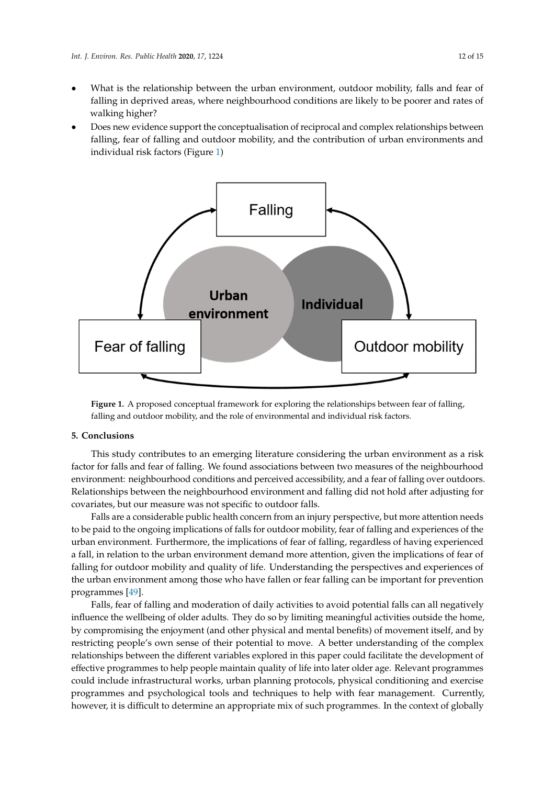- What is the relationship between the urban environment, outdoor mobility, falls and fear of falling in deprived areas, where neighbourhood conditions are likely to be poorer and rates of walking higher?
- Does new evidence support the conceptualisation of reciprocal and complex relationships between falling, fear of falling and outdoor mobility, and the contribution of urban environments and individual risk factors (Figure 1)  $\,$

<span id="page-11-0"></span>



#### **5. Conclusions**

This study contributes to an emerging literature considering the urban environment as a risk factor for falls and fear of falling. We found associations between two measures of the neighbourhood environment: neighbourhood conditions and perceived accessibility, and a fear of falling over outdoors. Relationships between the neighbourhood environment and falling did not hold after adjusting for covariates, but our measure was not specific to outdoor falls.

Falls are a considerable public health concern from an injury perspective, but more attention needs to be paid to the ongoing implications of falls for outdoor mobility, fear of falling and experiences of the urban environment. Furthermore, the implications of fear of falling, regardless of having experienced a fall, in relation to the urban environment demand more attention, given the implications of fear of falling for outdoor mobility and quality of life. Understanding the perspectives and experiences of the urban environment among those who have fallen or fear falling can be important for prevention programmes [\[49\]](#page-14-11).

Falls, fear of falling and moderation of daily activities to avoid potential falls can all negatively influence the wellbeing of older adults. They do so by limiting meaningful activities outside the home, by compromising the enjoyment (and other physical and mental benefits) of movement itself, and by restricting people's own sense of their potential to move. A better understanding of the complex relationships between the different variables explored in this paper could facilitate the development of effective programmes to help people maintain quality of life into later older age. Relevant programmes could include infrastructural works, urban planning protocols, physical conditioning and exercise programmes and psychological tools and techniques to help with fear management. Currently, however, it is difficult to determine an appropriate mix of such programmes. In the context of globally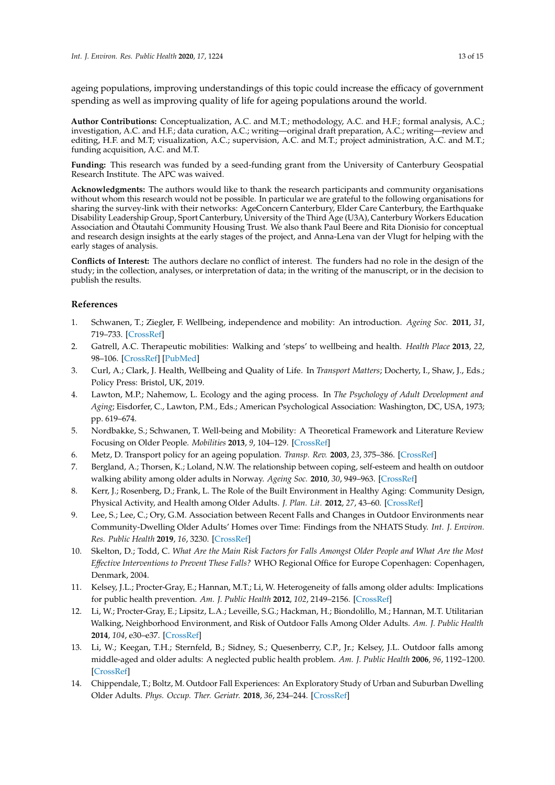ageing populations, improving understandings of this topic could increase the efficacy of government spending as well as improving quality of life for ageing populations around the world.

**Author Contributions:** Conceptualization, A.C. and M.T.; methodology, A.C. and H.F.; formal analysis, A.C.; investigation, A.C. and H.F.; data curation, A.C.; writing—original draft preparation, A.C.; writing—review and editing, H.F. and M.T; visualization, A.C.; supervision, A.C. and M.T.; project administration, A.C. and M.T.; funding acquisition, A.C. and M.T.

**Funding:** This research was funded by a seed-funding grant from the University of Canterbury Geospatial Research Institute. The APC was waived.

**Acknowledgments:** The authors would like to thank the research participants and community organisations without whom this research would not be possible. In particular we are grateful to the following organisations for sharing the survey-link with their networks: AgeConcern Canterbury, Elder Care Canterbury, the Earthquake Disability Leadership Group, Sport Canterbury, University of the Third Age (U3A), Canterbury Workers Education Association and Otautahi Community Housing Trust. We also thank Paul Beere and Rita Dionisio for conceptual ¯ and research design insights at the early stages of the project, and Anna-Lena van der Vlugt for helping with the early stages of analysis.

**Conflicts of Interest:** The authors declare no conflict of interest. The funders had no role in the design of the study; in the collection, analyses, or interpretation of data; in the writing of the manuscript, or in the decision to publish the results.

# **References**

- <span id="page-12-0"></span>1. Schwanen, T.; Ziegler, F. Wellbeing, independence and mobility: An introduction. *Ageing Soc.* **2011**, *31*, 719–733. [\[CrossRef\]](http://dx.doi.org/10.1017/S0144686X10001467)
- 2. Gatrell, A.C. Therapeutic mobilities: Walking and 'steps' to wellbeing and health. *Health Place* **2013**, *22*, 98–106. [\[CrossRef\]](http://dx.doi.org/10.1016/j.healthplace.2013.04.002) [\[PubMed\]](http://www.ncbi.nlm.nih.gov/pubmed/23666145)
- 3. Curl, A.; Clark, J. Health, Wellbeing and Quality of Life. In *Transport Matters*; Docherty, I., Shaw, J., Eds.; Policy Press: Bristol, UK, 2019.
- 4. Lawton, M.P.; Nahemow, L. Ecology and the aging process. In *The Psychology of Adult Development and Aging*; Eisdorfer, C., Lawton, P.M., Eds.; American Psychological Association: Washington, DC, USA, 1973; pp. 619–674.
- 5. Nordbakke, S.; Schwanen, T. Well-being and Mobility: A Theoretical Framework and Literature Review Focusing on Older People. *Mobilities* **2013**, *9*, 104–129. [\[CrossRef\]](http://dx.doi.org/10.1080/17450101.2013.784542)
- <span id="page-12-1"></span>6. Metz, D. Transport policy for an ageing population. *Transp. Rev.* **2003**, *23*, 375–386. [\[CrossRef\]](http://dx.doi.org/10.1080/0144164032000048573)
- <span id="page-12-2"></span>7. Bergland, A.; Thorsen, K.; Loland, N.W. The relationship between coping, self-esteem and health on outdoor walking ability among older adults in Norway. *Ageing Soc.* **2010**, *30*, 949–963. [\[CrossRef\]](http://dx.doi.org/10.1017/S0144686X1000022X)
- <span id="page-12-3"></span>8. Kerr, J.; Rosenberg, D.; Frank, L. The Role of the Built Environment in Healthy Aging: Community Design, Physical Activity, and Health among Older Adults. *J. Plan. Lit.* **2012**, *27*, 43–60. [\[CrossRef\]](http://dx.doi.org/10.1177/0885412211415283)
- <span id="page-12-4"></span>9. Lee, S.; Lee, C.; Ory, G.M. Association between Recent Falls and Changes in Outdoor Environments near Community-Dwelling Older Adults' Homes over Time: Findings from the NHATS Study. *Int. J. Environ. Res. Public Health* **2019**, *16*, 3230. [\[CrossRef\]](http://dx.doi.org/10.3390/ijerph16183230)
- <span id="page-12-5"></span>10. Skelton, D.; Todd, C. *What Are the Main Risk Factors for Falls Amongst Older People and What Are the Most E*ff*ective Interventions to Prevent These Falls?* WHO Regional Office for Europe Copenhagen: Copenhagen, Denmark, 2004.
- <span id="page-12-6"></span>11. Kelsey, J.L.; Procter-Gray, E.; Hannan, M.T.; Li, W. Heterogeneity of falls among older adults: Implications for public health prevention. *Am. J. Public Health* **2012**, *102*, 2149–2156. [\[CrossRef\]](http://dx.doi.org/10.2105/AJPH.2012.300677)
- <span id="page-12-7"></span>12. Li, W.; Procter-Gray, E.; Lipsitz, L.A.; Leveille, S.G.; Hackman, H.; Biondolillo, M.; Hannan, M.T. Utilitarian Walking, Neighborhood Environment, and Risk of Outdoor Falls Among Older Adults. *Am. J. Public Health* **2014**, *104*, e30–e37. [\[CrossRef\]](http://dx.doi.org/10.2105/AJPH.2014.302104)
- <span id="page-12-8"></span>13. Li, W.; Keegan, T.H.; Sternfeld, B.; Sidney, S.; Quesenberry, C.P., Jr.; Kelsey, J.L. Outdoor falls among middle-aged and older adults: A neglected public health problem. *Am. J. Public Health* **2006**, *96*, 1192–1200. [\[CrossRef\]](http://dx.doi.org/10.2105/AJPH.2005.083055)
- <span id="page-12-9"></span>14. Chippendale, T.; Boltz, M. Outdoor Fall Experiences: An Exploratory Study of Urban and Suburban Dwelling Older Adults. *Phys. Occup. Ther. Geriatr.* **2018**, *36*, 234–244. [\[CrossRef\]](http://dx.doi.org/10.1080/02703181.2018.1495677)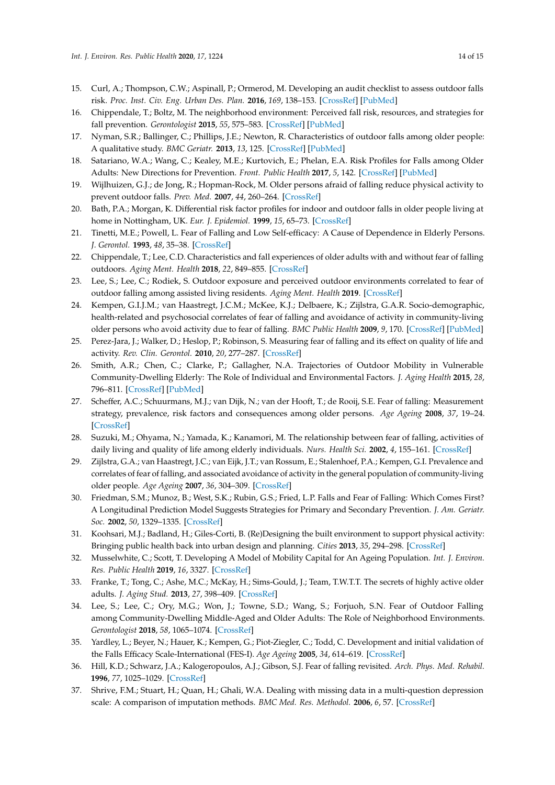- <span id="page-13-16"></span>15. Curl, A.; Thompson, C.W.; Aspinall, P.; Ormerod, M. Developing an audit checklist to assess outdoor falls risk. *Proc. Inst. Civ. Eng. Urban Des. Plan.* **2016**, *169*, 138–153. [\[CrossRef\]](http://dx.doi.org/10.1680/udap.14.00056) [\[PubMed\]](http://www.ncbi.nlm.nih.gov/pubmed/27166968)
- <span id="page-13-14"></span>16. Chippendale, T.; Boltz, M. The neighborhood environment: Perceived fall risk, resources, and strategies for fall prevention. *Gerontologist* **2015**, *55*, 575–583. [\[CrossRef\]](http://dx.doi.org/10.1093/geront/gnu019) [\[PubMed\]](http://www.ncbi.nlm.nih.gov/pubmed/24836115)
- <span id="page-13-0"></span>17. Nyman, S.R.; Ballinger, C.; Phillips, J.E.; Newton, R. Characteristics of outdoor falls among older people: A qualitative study. *BMC Geriatr.* **2013**, *13*, 125. [\[CrossRef\]](http://dx.doi.org/10.1186/1471-2318-13-125) [\[PubMed\]](http://www.ncbi.nlm.nih.gov/pubmed/24245830)
- <span id="page-13-1"></span>18. Satariano, W.A.; Wang, C.; Kealey, M.E.; Kurtovich, E.; Phelan, E.A. Risk Profiles for Falls among Older Adults: New Directions for Prevention. *Front. Public Health* **2017**, *5*, 142. [\[CrossRef\]](http://dx.doi.org/10.3389/fpubh.2017.00142) [\[PubMed\]](http://www.ncbi.nlm.nih.gov/pubmed/28824893)
- <span id="page-13-2"></span>19. Wijlhuizen, G.J.; de Jong, R.; Hopman-Rock, M. Older persons afraid of falling reduce physical activity to prevent outdoor falls. *Prev. Med.* **2007**, *44*, 260–264. [\[CrossRef\]](http://dx.doi.org/10.1016/j.ypmed.2006.11.003)
- <span id="page-13-3"></span>20. Bath, P.A.; Morgan, K. Differential risk factor profiles for indoor and outdoor falls in older people living at home in Nottingham, UK. *Eur. J. Epidemiol.* **1999**, *15*, 65–73. [\[CrossRef\]](http://dx.doi.org/10.1023/A:1007531101765)
- <span id="page-13-4"></span>21. Tinetti, M.E.; Powell, L. Fear of Falling and Low Self-efficacy: A Cause of Dependence in Elderly Persons. *J. Gerontol.* **1993**, *48*, 35–38. [\[CrossRef\]](http://dx.doi.org/10.1093/geronj/48.Special_Issue.35)
- <span id="page-13-5"></span>22. Chippendale, T.; Lee, C.D. Characteristics and fall experiences of older adults with and without fear of falling outdoors. *Aging Ment. Health* **2018**, *22*, 849–855. [\[CrossRef\]](http://dx.doi.org/10.1080/13607863.2017.1309639)
- <span id="page-13-6"></span>23. Lee, S.; Lee, C.; Rodiek, S. Outdoor exposure and perceived outdoor environments correlated to fear of outdoor falling among assisted living residents. *Aging Ment. Health* **2019**. [\[CrossRef\]](http://dx.doi.org/10.1080/13607863.2019.1647139)
- 24. Kempen, G.I.J.M.; van Haastregt, J.C.M.; McKee, K.J.; Delbaere, K.; Zijlstra, G.A.R. Socio-demographic, health-related and psychosocial correlates of fear of falling and avoidance of activity in community-living older persons who avoid activity due to fear of falling. *BMC Public Health* **2009**, *9*, 170. [\[CrossRef\]](http://dx.doi.org/10.1186/1471-2458-9-170) [\[PubMed\]](http://www.ncbi.nlm.nih.gov/pubmed/19490640)
- 25. Perez-Jara, J.; Walker, D.; Heslop, P.; Robinson, S. Measuring fear of falling and its effect on quality of life and activity. *Rev. Clin. Gerontol.* **2010**, *20*, 277–287. [\[CrossRef\]](http://dx.doi.org/10.1017/S0959259810000237)
- 26. Smith, A.R.; Chen, C.; Clarke, P.; Gallagher, N.A. Trajectories of Outdoor Mobility in Vulnerable Community-Dwelling Elderly: The Role of Individual and Environmental Factors. *J. Aging Health* **2015**, *28*, 796–811. [\[CrossRef\]](http://dx.doi.org/10.1177/0898264315611665) [\[PubMed\]](http://www.ncbi.nlm.nih.gov/pubmed/26486782)
- <span id="page-13-8"></span>27. Scheffer, A.C.; Schuurmans, M.J.; van Dijk, N.; van der Hooft, T.; de Rooij, S.E. Fear of falling: Measurement strategy, prevalence, risk factors and consequences among older persons. *Age Ageing* **2008**, *37*, 19–24. [\[CrossRef\]](http://dx.doi.org/10.1093/ageing/afm169)
- <span id="page-13-7"></span>28. Suzuki, M.; Ohyama, N.; Yamada, K.; Kanamori, M. The relationship between fear of falling, activities of daily living and quality of life among elderly individuals. *Nurs. Health Sci.* **2002**, *4*, 155–161. [\[CrossRef\]](http://dx.doi.org/10.1046/j.1442-2018.2002.00123.x)
- <span id="page-13-9"></span>29. Zijlstra, G.A.; van Haastregt, J.C.; van Eijk, J.T.; van Rossum, E.; Stalenhoef, P.A.; Kempen, G.I. Prevalence and correlates of fear of falling, and associated avoidance of activity in the general population of community-living older people. *Age Ageing* **2007**, *36*, 304–309. [\[CrossRef\]](http://dx.doi.org/10.1093/ageing/afm021)
- <span id="page-13-10"></span>30. Friedman, S.M.; Munoz, B.; West, S.K.; Rubin, G.S.; Fried, L.P. Falls and Fear of Falling: Which Comes First? A Longitudinal Prediction Model Suggests Strategies for Primary and Secondary Prevention. *J. Am. Geriatr. Soc.* **2002**, *50*, 1329–1335. [\[CrossRef\]](http://dx.doi.org/10.1046/j.1532-5415.2002.50352.x)
- <span id="page-13-11"></span>31. Koohsari, M.J.; Badland, H.; Giles-Corti, B. (Re)Designing the built environment to support physical activity: Bringing public health back into urban design and planning. *Cities* **2013**, *35*, 294–298. [\[CrossRef\]](http://dx.doi.org/10.1016/j.cities.2013.07.001)
- <span id="page-13-12"></span>32. Musselwhite, C.; Scott, T. Developing A Model of Mobility Capital for An Ageing Population. *Int. J. Environ. Res. Public Health* **2019**, *16*, 3327. [\[CrossRef\]](http://dx.doi.org/10.3390/ijerph16183327)
- <span id="page-13-13"></span>33. Franke, T.; Tong, C.; Ashe, M.C.; McKay, H.; Sims-Gould, J.; Team, T.W.T.T. The secrets of highly active older adults. *J. Aging Stud.* **2013**, *27*, 398–409. [\[CrossRef\]](http://dx.doi.org/10.1016/j.jaging.2013.09.003)
- <span id="page-13-15"></span>34. Lee, S.; Lee, C.; Ory, M.G.; Won, J.; Towne, S.D.; Wang, S.; Forjuoh, S.N. Fear of Outdoor Falling among Community-Dwelling Middle-Aged and Older Adults: The Role of Neighborhood Environments. *Gerontologist* **2018**, *58*, 1065–1074. [\[CrossRef\]](http://dx.doi.org/10.1093/geront/gnx123)
- <span id="page-13-17"></span>35. Yardley, L.; Beyer, N.; Hauer, K.; Kempen, G.; Piot-Ziegler, C.; Todd, C. Development and initial validation of the Falls Efficacy Scale-International (FES-I). *Age Ageing* **2005**, *34*, 614–619. [\[CrossRef\]](http://dx.doi.org/10.1093/ageing/afi196)
- <span id="page-13-18"></span>36. Hill, K.D.; Schwarz, J.A.; Kalogeropoulos, A.J.; Gibson, S.J. Fear of falling revisited. *Arch. Phys. Med. Rehabil.* **1996**, *77*, 1025–1029. [\[CrossRef\]](http://dx.doi.org/10.1016/S0003-9993(96)90063-5)
- <span id="page-13-19"></span>37. Shrive, F.M.; Stuart, H.; Quan, H.; Ghali, W.A. Dealing with missing data in a multi-question depression scale: A comparison of imputation methods. *BMC Med. Res. Methodol.* **2006**, *6*, 57. [\[CrossRef\]](http://dx.doi.org/10.1186/1471-2288-6-57)